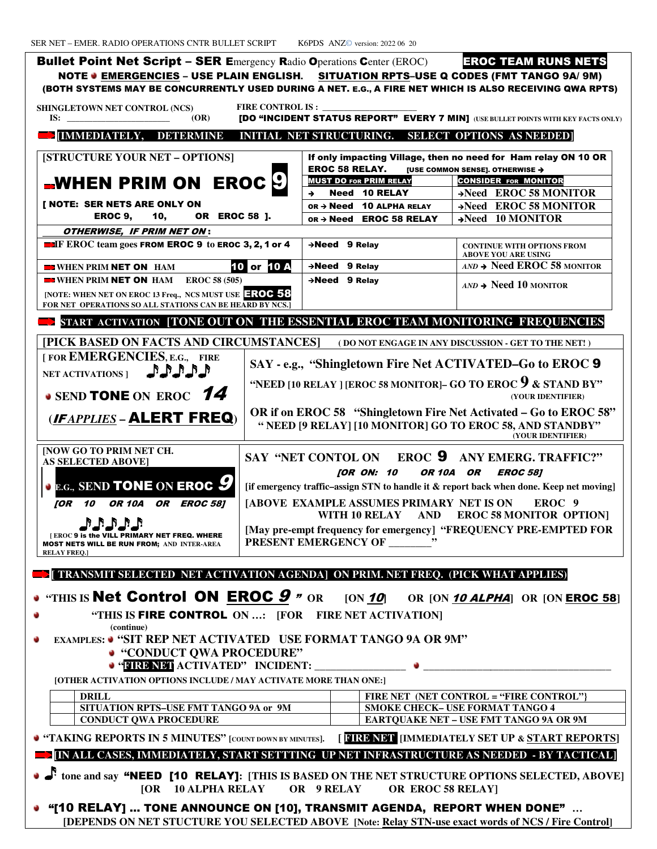SER NET – EMER. RADIO OPERATIONS CNTR BULLET SCRIPT K6PDS ANZ© version: 2022 06 20 Bullet Point Net Script - SER Emergency Radio Operations Center (EROC) EROC TEAM RUN NOTE ● <u>EMERGENCIES</u> – USE PLAIN ENGLISH. <u>SITUATION RPTS</u>–USE Q CODES (FMT TANGO 9A/ 9M) (BOTH SYSTEMS MAY BE CONCURRENTLY USED DURING A NET. E.G., A FIRE NET WHICH IS ALSO RECEIVING QWA RPTS) **SHINGLETOWN NET CONTROL (NCS) IS: \_\_\_\_\_\_\_\_\_\_\_\_\_\_\_\_\_\_\_\_\_\_\_\_ (OR) FIRE CONTROL IS : [DO "INCIDENT STATUS REPORT" EVERY 7 MIN]** (USE BULLET POINTS WITH KEY FACTS ONLY) **[IMMEDIATELY, DETERMINE INITIAL INITIAL NET STRUCTURING. SELECT OPTIONS AS NEEDED] [STRUCTURE YOUR NET – OPTIONS]**  WHEN PRIM ON  $\,$  EROC  $\,$   $\,$   $\,$   $\,$   $\,$   $\,$ **[ NOTE: SER NETS ARE ONLY ON**  EROC 9, 10, OR EROC 58 ]. OTHERWISE, IF PRIM NET ON : **IF EROC team goes FROM EROC 9 to EROC 3, 2, 1 or 4 EXAMPLE WHEN PRIM NET ON** HAM  **WHEN PRIM** NET ON **HAM EROC 58 (505) EROC 58 [NOTE: WHEN NET ON EROC 13 Freq., NCS MUST USE** EROC 58 FOR NET OPERATIONS SO ALL STATIONS CAN BE HEARD BY NCS.]  **START ACTIVATION [TONE OUT ON THE ESSENTIAL EROC TEAM MONITORING FREQUENCIES**  [PICK BASED ON FACTS AND CIRCUMSTANCES]  $\qquad$  ( do not engage in any discussion  $\cdot$  get to the net! ) **[ FOR EMERGENCIES, E.G., FIRE**  NET ACTIVATIONS ] **AND ALLER • SEND TONE ON EROC 14 (**IF *APPLIES* **–** ALERT FREQ**) [NOW GO TO PRIM NET CH. AS SELECTED ABOVE] E.G., SEND** TONE **ON** EROC 9 [OR 10 OR 10A OR EROC 581 **FRAMERIC PRIMARY NET FREQ. WHERE** MOST NETS WILL BE RUN FROM; **AND INTER-AREA RELAY FREQ.] SAY " [if emergency traffic emergency traffic–assign STN to handle it & report back when done. Keep net moving] assign moving][ [ABOVE EXAMPLE ASSUMES PRIMARY NET IS ON** [May pre-empt frequency for emergency] "FREQUENCY PRE-EMPTED FOR **PRESENT EMERGENCY OF \_\_\_\_\_\_\_\_" [ TRANSMIT SELECTED NET ACTIVATION NET ACTIVATION AGENDA] ON PRIM. NET FREQ. (PICK WHAT APPLIES) • "THIS IS Net Control ON EROC 9 " OR "THIS IS** FIRE CONTROL **ON …: [ ON …: [FOR FIRE NET ACTIVATION] (continue) EXAMPLES: • "SIT REP NET ACTIVATED USE FORMAT TANGO 9A OR 9M" "CONDUCT QWA PROCEDURE" "FIRE NET ACTIVATED" INCIDEN INCIDENT: \_\_\_\_\_\_\_\_\_\_\_\_\_\_\_\_\_ \_\_\_\_\_\_\_\_\_\_\_\_\_\_\_\_\_\_\_\_\_\_\_\_\_\_\_\_\_\_\_\_\_\_\_ [OTHER ACTIVATION OPTIONS INCLUDE / MAY ACTIVATE MORE THAN ONE:] DRILL SITUATION RPTS–USE FMT TANGO 9A or CONDUCT QWA PROCEDURE \_\_\_\_\_\_\_\_\_\_\_\_\_\_\_\_\_\_\_\_\_\_**  If only impacting Village, then no need for Ham relay ON 10 OR **EROC 58 RELAY.** [USE COMMON SENSE]. OTHERWISE  $\rightarrow$ **MUST DO FOR PRIM RELAY**  $\rightarrow$  Need 10 RELAY OR  $\rightarrow$  **Need 10 ALPHA RELAY** OR > Need **EROC 58 RELAY 2008 120 Need 9 Relay CONTINUE WITH OPTIONS FROM ABOVE YOU CONTINUE ARE USING 10 or 10 A** → Need 9 Relay Need 9 Relay *AND* **Need 10 MONITOR SAY - e.g., "Shingletown Fire Net ACTIVATED ACTIVATED–Go to EROC** 9 **"NEED [10 RELAY ] [EROC 58 MONITOR]– GO TO EROC 9 & STAND BY" OR if on EROC 58 "Shingletown Fire Net Activated – Go to EROC 58" " NEED [9 RELAY] [10 MONITOR] GO TO EROC 58, AND STANDBY"**  SAY "NET CONTOL ON **EROC 9** ANY EMERG. TRAFFIC?" [OR ON: 10 OR 10A OR EROC 58] **WITH 10 RELAY AND EROC 58 MONITOR OPTION] 9** *n* or [ON **10**] OR [ON **10 ALPHA**] OR [ON **EROC 58**]  **FIRE NET (NET CONTROL = "FIRE CONTROL"} SMOKE CHECK- USE FORMAT TANGO 4 EARTQUAKE NET – USE FMT TANGO 9A OR 9M 9A EROC TEAM RUNS NETS CONSIDER FOR MONITOR**  $\rightarrow$ **Need EROC 58 MONITOR**  $\rightarrow$ **Need EROC 58 MONITOR 10 MONITOR Need EROC 58 MONITOR (YOUR IDENTIFIER) (YOUR IDENTIFIER)** EROC 9

 **[<b>COUNTS** IN 5 MINUTES" [COUNT DOWN BY MINUTES]. [**CIRE NET** [IMMEDIATELY SET UP & START REPORTS]

## **EXAMPLE IN ALL CASES, IMMEDIATELY, START SETTTING UP NET INFRASTRUCTURE AS NEEDED - BY TACTICAL]**

**d** tone and say **"NEED [10 RELAY]:** [THIS IS BASED ON THE NET STRUCTURE OPTIONS SELECTED, ABOVE]  **[OR 10 ALPHA RELAY OR 9 RELAY OR EROC 58 RELAY] [OR EROC** 

**"[10 RELAY] ... TONE ANNOUNCE ON [10], TRANSMIT AGENDA, REPORT WHEN DONE"** ... **[DEPENDS ON NET STUCTURE YOU SELECTED ABOVE** [Note: **Relay STN-use exact words of NCS / Fire Control**]